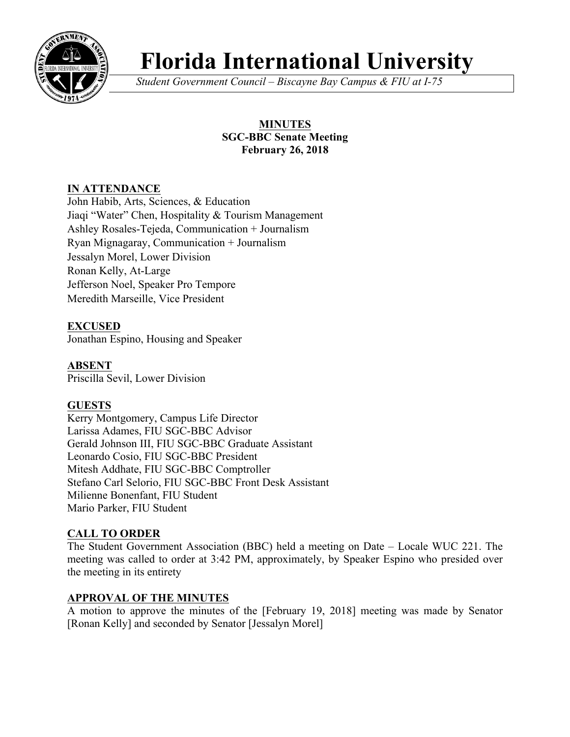

# **Florida International University**

*Student Government Council – Biscayne Bay Campus & FIU at I-75*

## **MINUTES SGC-BBC Senate Meeting February 26, 2018**

## **IN ATTENDANCE**

John Habib, Arts, Sciences, & Education Jiaqi "Water" Chen, Hospitality & Tourism Management Ashley Rosales-Tejeda, Communication + Journalism Ryan Mignagaray, Communication + Journalism Jessalyn Morel, Lower Division Ronan Kelly, At-Large Jefferson Noel, Speaker Pro Tempore Meredith Marseille, Vice President

**EXCUSED** Jonathan Espino, Housing and Speaker

**ABSENT**  Priscilla Sevil, Lower Division

# **GUESTS**

Kerry Montgomery, Campus Life Director Larissa Adames, FIU SGC-BBC Advisor Gerald Johnson III, FIU SGC-BBC Graduate Assistant Leonardo Cosio, FIU SGC-BBC President Mitesh Addhate, FIU SGC-BBC Comptroller Stefano Carl Selorio, FIU SGC-BBC Front Desk Assistant Milienne Bonenfant, FIU Student Mario Parker, FIU Student

## **CALL TO ORDER**

The Student Government Association (BBC) held a meeting on Date – Locale WUC 221. The meeting was called to order at 3:42 PM, approximately, by Speaker Espino who presided over the meeting in its entirety

## **APPROVAL OF THE MINUTES**

A motion to approve the minutes of the [February 19, 2018] meeting was made by Senator [Ronan Kelly] and seconded by Senator [Jessalyn Morel]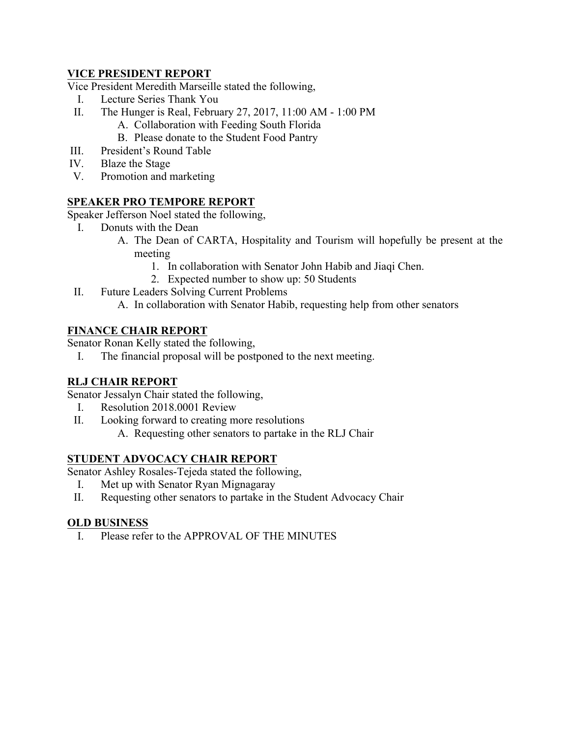#### **VICE PRESIDENT REPORT**

Vice President Meredith Marseille stated the following,

- I. Lecture Series Thank You
- II. The Hunger is Real, February 27, 2017, 11:00 AM 1:00 PM
	- A. Collaboration with Feeding South Florida
	- B. Please donate to the Student Food Pantry
- III. President's Round Table
- IV. Blaze the Stage
- V. Promotion and marketing

## **SPEAKER PRO TEMPORE REPORT**

Speaker Jefferson Noel stated the following,

- I. Donuts with the Dean
	- A. The Dean of CARTA, Hospitality and Tourism will hopefully be present at the meeting
		- 1. In collaboration with Senator John Habib and Jiaqi Chen.
		- 2. Expected number to show up: 50 Students
- II. Future Leaders Solving Current Problems
	- A. In collaboration with Senator Habib, requesting help from other senators

#### **FINANCE CHAIR REPORT**

Senator Ronan Kelly stated the following,

I. The financial proposal will be postponed to the next meeting.

## **RLJ CHAIR REPORT**

Senator Jessalyn Chair stated the following,

- I. Resolution 2018.0001 Review
- II. Looking forward to creating more resolutions
	- A. Requesting other senators to partake in the RLJ Chair

#### **STUDENT ADVOCACY CHAIR REPORT**

Senator Ashley Rosales-Tejeda stated the following,

- I. Met up with Senator Ryan Mignagaray
- II. Requesting other senators to partake in the Student Advocacy Chair

#### **OLD BUSINESS**

I. Please refer to the APPROVAL OF THE MINUTES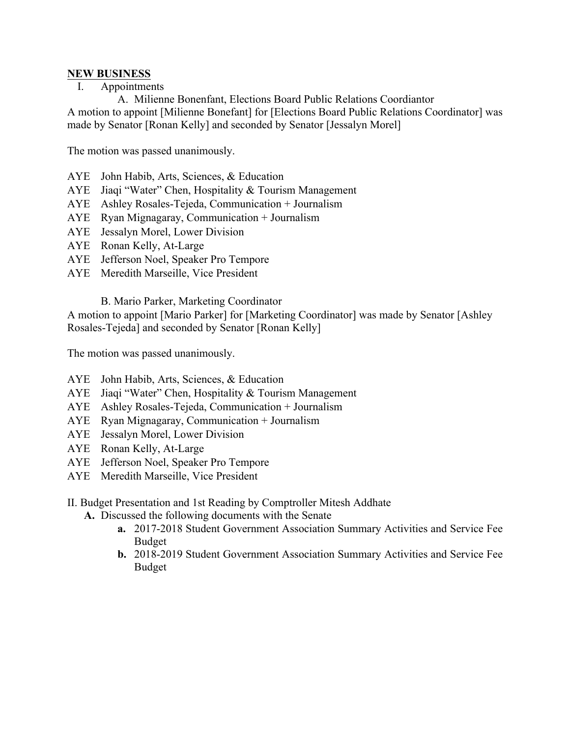#### **NEW BUSINESS**

I. Appointments

A. Milienne Bonenfant, Elections Board Public Relations Coordiantor A motion to appoint [Milienne Bonefant] for [Elections Board Public Relations Coordinator] was made by Senator [Ronan Kelly] and seconded by Senator [Jessalyn Morel]

The motion was passed unanimously.

- AYE John Habib, Arts, Sciences, & Education
- AYE Jiaqi "Water" Chen, Hospitality & Tourism Management
- AYE Ashley Rosales-Tejeda, Communication + Journalism
- AYE Ryan Mignagaray, Communication + Journalism
- AYE Jessalyn Morel, Lower Division
- AYE Ronan Kelly, At-Large
- AYE Jefferson Noel, Speaker Pro Tempore
- AYE Meredith Marseille, Vice President

B. Mario Parker, Marketing Coordinator

A motion to appoint [Mario Parker] for [Marketing Coordinator] was made by Senator [Ashley Rosales-Tejeda] and seconded by Senator [Ronan Kelly]

The motion was passed unanimously.

- AYE John Habib, Arts, Sciences, & Education
- AYE Jiaqi "Water" Chen, Hospitality & Tourism Management
- AYE Ashley Rosales-Tejeda, Communication + Journalism
- AYE Ryan Mignagaray, Communication + Journalism
- AYE Jessalyn Morel, Lower Division
- AYE Ronan Kelly, At-Large
- AYE Jefferson Noel, Speaker Pro Tempore
- AYE Meredith Marseille, Vice President
- II. Budget Presentation and 1st Reading by Comptroller Mitesh Addhate
	- **A.** Discussed the following documents with the Senate
		- **a.** 2017-2018 Student Government Association Summary Activities and Service Fee Budget
		- **b.** 2018-2019 Student Government Association Summary Activities and Service Fee Budget